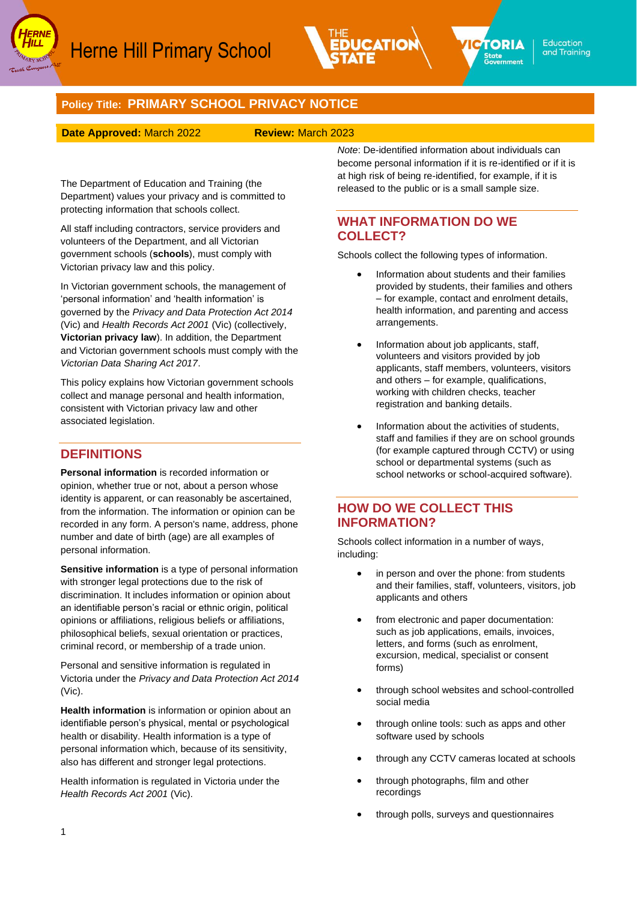



# **Policy Title: PRIMARY SCHOOL PRIVACY NOTICE**

#### **Date Approved:** March 2022 **Review:** March 2023

The Department of Education and Training (the Department) values your privacy and is committed to protecting information that schools collect.

All staff including contractors, service providers and volunteers of the Department, and all Victorian government schools (**schools**), must comply with Victorian privacy law and this policy.

In Victorian government schools, the management of 'personal information' and 'health information' is governed by the *Privacy and Data Protection Act 2014* (Vic) and *Health Records Act 2001* (Vic) (collectively, **Victorian privacy law**). In addition, the Department and Victorian government schools must comply with the *Victorian Data Sharing Act 2017*.

This policy explains how Victorian government schools collect and manage personal and health information, consistent with Victorian privacy law and other associated legislation.

## **DEFINITIONS**

**Personal information** is recorded information or opinion, whether true or not, about a person whose identity is apparent, or can reasonably be ascertained, from the information. The information or opinion can be recorded in any form. A person's name, address, phone number and date of birth (age) are all examples of personal information.

**Sensitive information** is a type of personal information with stronger legal protections due to the risk of discrimination. It includes information or opinion about an identifiable person's racial or ethnic origin, political opinions or affiliations, religious beliefs or affiliations, philosophical beliefs, sexual orientation or practices, criminal record, or membership of a trade union.

Personal and sensitive information is regulated in Victoria under the *Privacy and Data Protection Act 2014*  (Vic).

**Health information** is information or opinion about an identifiable person's physical, mental or psychological health or disability. Health information is a type of personal information which, because of its sensitivity, also has different and stronger legal protections.

Health information is regulated in Victoria under the *Health Records Act 2001* (Vic).

*Note*: De-identified information about individuals can become personal information if it is re-identified or if it is at high risk of being re-identified, for example, if it is released to the public or is a small sample size.

## **WHAT INFORMATION DO WE COLLECT?**

Schools collect the following types of information.

- Information about students and their families provided by students, their families and others – for example, contact and enrolment details, health information, and parenting and access arrangements.
- Information about job applicants, staff, volunteers and visitors provided by job applicants, staff members, volunteers, visitors and others – for example, qualifications, working with children checks, teacher registration and banking details.
- Information about the activities of students, staff and families if they are on school grounds (for example captured through CCTV) or using school or departmental systems (such as school networks or school-acquired software).

### **HOW DO WE COLLECT THIS INFORMATION?**

Schools collect information in a number of ways, including:

- in person and over the phone: from students and their families, staff, volunteers, visitors, job applicants and others
- from electronic and paper documentation: such as job applications, emails, invoices, letters, and forms (such as enrolment, excursion, medical, specialist or consent forms)
- through school websites and school-controlled social media
- through online tools: such as apps and other software used by schools
- through any CCTV cameras located at schools
- through photographs, film and other recordings
- through polls, surveys and questionnaires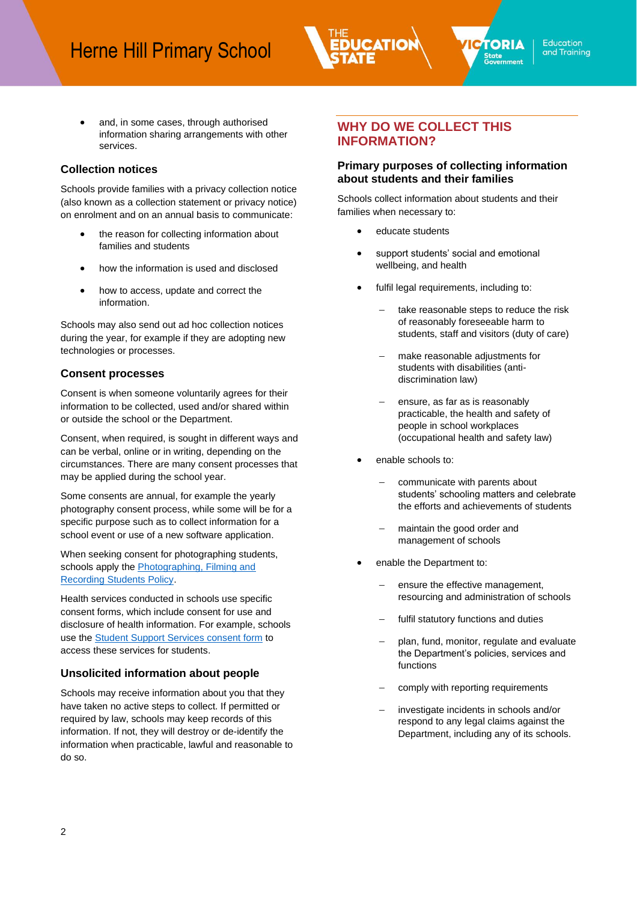

**PTORIA** 

State<br>Government

and, in some cases, through authorised information sharing arrangements with other services.

### **Collection notices**

Schools provide families with a privacy collection notice (also known as a collection statement or privacy notice) on enrolment and on an annual basis to communicate:

- the reason for collecting information about families and students
- how the information is used and disclosed
- how to access, update and correct the information.

Schools may also send out ad hoc collection notices during the year, for example if they are adopting new technologies or processes.

## **Consent processes**

Consent is when someone voluntarily agrees for their information to be collected, used and/or shared within or outside the school or the Department.

Consent, when required, is sought in different ways and can be verbal, online or in writing, depending on the circumstances. There are many consent processes that may be applied during the school year.

Some consents are annual, for example the yearly photography consent process, while some will be for a specific purpose such as to collect information for a school event or use of a new software application.

When seeking consent for photographing students, schools apply the **Photographing**, Filming and [Recording Students Policy.](https://www2.education.vic.gov.au/pal/photographing-students/policy)

Health services conducted in schools use specific consent forms, which include consent for use and disclosure of health information. For example, schools use the Student [Support Services consent form](https://www.education.vic.gov.au/Documents/school/students/SSSInformationandPrivacyConsentForm.pdf) to access these services for students.

## **Unsolicited information about people**

Schools may receive information about you that they have taken no active steps to collect. If permitted or required by law, schools may keep records of this information. If not, they will destroy or de-identify the information when practicable, lawful and reasonable to do so.

# **WHY DO WE COLLECT THIS INFORMATION?**

### **Primary purposes of collecting information about students and their families**

Schools collect information about students and their families when necessary to:

- educate students
- support students' social and emotional wellbeing, and health
- fulfil legal requirements, including to:
	- take reasonable steps to reduce the risk of reasonably foreseeable harm to students, staff and visitors (duty of care)
	- make reasonable adjustments for students with disabilities (antidiscrimination law)
	- ensure, as far as is reasonably practicable, the health and safety of people in school workplaces (occupational health and safety law)
- enable schools to:
	- communicate with parents about students' schooling matters and celebrate the efforts and achievements of students
	- maintain the good order and management of schools
- enable the Department to:
	- ensure the effective management, resourcing and administration of schools
	- fulfil statutory functions and duties
	- − plan, fund, monitor, regulate and evaluate the Department's policies, services and functions
	- comply with reporting requirements
	- − investigate incidents in schools and/or respond to any legal claims against the Department, including any of its schools.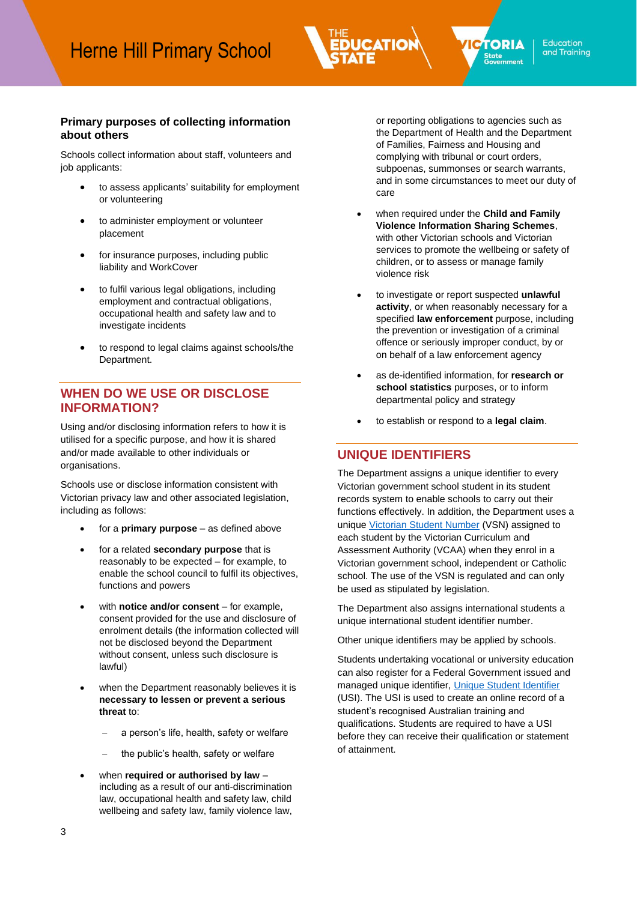### **Primary purposes of collecting information about others**

Schools collect information about staff, volunteers and job applicants:

- to assess applicants' suitability for employment or volunteering
- to administer employment or volunteer placement
- for insurance purposes, including public liability and WorkCover
- to fulfil various legal obligations, including employment and contractual obligations, occupational health and safety law and to investigate incidents
- to respond to legal claims against schools/the Department.

## **WHEN DO WE USE OR DISCLOSE INFORMATION?**

Using and/or disclosing information refers to how it is utilised for a specific purpose, and how it is shared and/or made available to other individuals or organisations.

Schools use or disclose information consistent with Victorian privacy law and other associated legislation, including as follows:

- for a **primary purpose** as defined above
- for a related **secondary purpose** that is reasonably to be expected – for example, to enable the school council to fulfil its objectives, functions and powers
- with **notice and/or consent** for example, consent provided for the use and disclosure of enrolment details (the information collected will not be disclosed beyond the Department without consent, unless such disclosure is lawful)
- when the Department reasonably believes it is **necessary to lessen or prevent a serious threat** to:
	- a person's life, health, safety or welfare
	- the public's health, safety or welfare
- when **required or authorised by law** including as a result of our anti-discrimination law, occupational health and safety law, child wellbeing and safety law, family violence law,

or reporting obligations to agencies such as the Department of Health and the Department of Families, Fairness and Housing and complying with tribunal or court orders, subpoenas, summonses or search warrants, and in some circumstances to meet our duty of care

**PTORIA** 

State<br>Government

- when required under the **Child and Family Violence Information Sharing Schemes**, with other Victorian schools and Victorian services to promote the wellbeing or safety of children, or to assess or manage family violence risk
- to investigate or report suspected **unlawful activity**, or when reasonably necessary for a specified **law enforcement** purpose, including the prevention or investigation of a criminal offence or seriously improper conduct, by or on behalf of a law enforcement agency
- as de-identified information, for **research or school statistics** purposes, or to inform departmental policy and strategy
- to establish or respond to a **legal claim**.

### **UNIQUE IDENTIFIERS**

The Department assigns a unique identifier to every Victorian government school student in its student records system to enable schools to carry out their functions effectively. In addition, the Department uses a uniqu[e Victorian Student Number](https://www.vcaa.vic.edu.au/administration/schooladministration/student-numbers/Pages/Index.aspx) (VSN) assigned to each student by the Victorian Curriculum and Assessment Authority (VCAA) when they enrol in a Victorian government school, independent or Catholic school. The use of the VSN is regulated and can only be used as stipulated by legislation.

The Department also assigns international students a unique international student identifier number.

Other unique identifiers may be applied by schools.

Students undertaking vocational or university education can also register for a Federal Government issued and managed unique identifier, [Unique Student Identifier](https://www.vcaa.vic.edu.au/administration/schooladministration/student-numbers/Pages/Index.aspx) (USI). The USI is used to create an online record of a student's recognised Australian training and qualifications. Students are required to have a USI before they can receive their qualification or statement of attainment.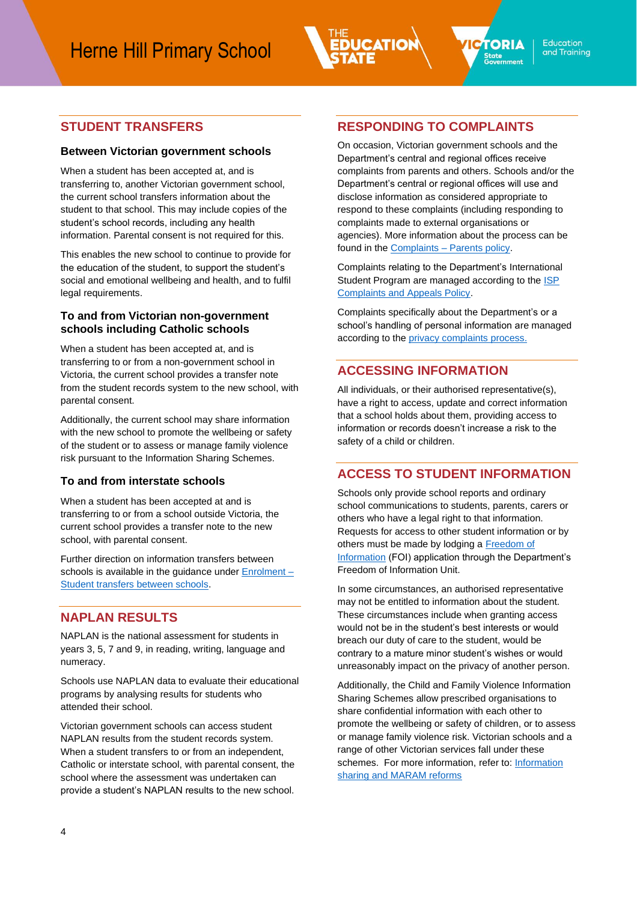

### **Between Victorian government schools**

When a student has been accepted at, and is transferring to, another Victorian government school, the current school transfers information about the student to that school. This may include copies of the student's school records, including any health information. Parental consent is not required for this.

This enables the new school to continue to provide for the education of the student, to support the student's social and emotional wellbeing and health, and to fulfil legal requirements.

### **To and from Victorian non-government schools including Catholic schools**

When a student has been accepted at, and is transferring to or from a non-government school in Victoria, the current school provides a transfer note from the student records system to the new school, with parental consent.

Additionally, the current school may share information with the new school to promote the wellbeing or safety of the student or to assess or manage family violence risk pursuant to the Information Sharing Schemes.

#### **To and from interstate schools**

When a student has been accepted at and is transferring to or from a school outside Victoria, the current school provides a transfer note to the new school, with parental consent.

Further direction on information transfers between schools is available in the guidance under [Enrolment –](https://www2.education.vic.gov.au/pal/enrolment/guidance/student-transfers-between-schools) [Student transfers between schools.](https://www2.education.vic.gov.au/pal/enrolment/guidance/student-transfers-between-schools)

# **NAPLAN RESULTS**

NAPLAN is the national assessment for students in years 3, 5, 7 and 9, in reading, writing, language and numeracy.

Schools use NAPLAN data to evaluate their educational programs by analysing results for students who attended their school.

Victorian government schools can access student NAPLAN results from the student records system. When a student transfers to or from an independent, Catholic or interstate school, with parental consent, the school where the assessment was undertaken can provide a student's NAPLAN results to the new school.

## **RESPONDING TO COMPLAINTS**

On occasion, Victorian government schools and the Department's central and regional offices receive complaints from parents and others. Schools and/or the Department's central or regional offices will use and disclose information as considered appropriate to respond to these complaints (including responding to complaints made to external organisations or agencies). More information about the process can be found in the Complaints - [Parents policy.](https://www2.education.vic.gov.au/pal/complaints/policy)

Complaints relating to the Department's International Student Program are managed according to the **ISP** [Complaints and Appeals Policy.](https://www.study.vic.gov.au/Shared%20Documents/en/School_Toolkit/ISP_Complaints_and_Appeals_Process_Guide.docx)

Complaints specifically about the Department's or a school's handling of personal information are managed according to the **privacy complaints** process.

# **ACCESSING INFORMATION**

All individuals, or their authorised representative(s), have a right to access, update and correct information that a school holds about them, providing access to information or records doesn't increase a risk to the safety of a child or children.

# **ACCESS TO STUDENT INFORMATION**

Schools only provide school reports and ordinary school communications to students, parents, carers or others who have a legal right to that information. Requests for access to other student information or by others must be made by lodging a Freedom of [Information](https://www.education.vic.gov.au/about/working/Pages/foi.aspx) (FOI) application through the Department's Freedom of Information Unit.

In some circumstances, an authorised representative may not be entitled to information about the student. These circumstances include when granting access would not be in the student's best interests or would breach our duty of care to the student, would be contrary to a mature minor student's wishes or would unreasonably impact on the privacy of another person.

Additionally, the Child and Family Violence Information Sharing Schemes allow prescribed organisations to share confidential information with each other to promote the wellbeing or safety of children, or to assess or manage family violence risk. Victorian schools and a range of other Victorian services fall under these schemes. For more information, refer to: [Information](https://www.vic.gov.au/information-sharing-schemes-and-the-maram-framework)  [sharing and MARAM reforms](https://www.vic.gov.au/information-sharing-schemes-and-the-maram-framework)